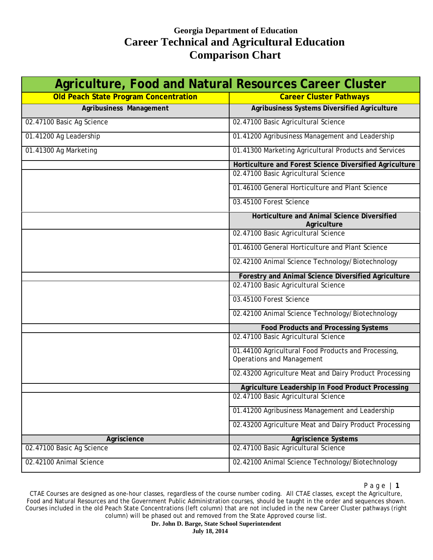| Agriculture, Food and Natural Resources Career Cluster |                                                                                         |
|--------------------------------------------------------|-----------------------------------------------------------------------------------------|
| <b>Old Peach State Program Concentration</b>           | <b>Career Cluster Pathways</b>                                                          |
| Agribusiness Management                                | Agribusiness Systems Diversified Agriculture                                            |
| 02.47100 Basic Ag Science                              | 02.47100 Basic Agricultural Science                                                     |
| 01.41200 Ag Leadership                                 | 01.41200 Agribusiness Management and Leadership                                         |
| 01.41300 Ag Marketing                                  | 01.41300 Marketing Agricultural Products and Services                                   |
|                                                        | Horticulture and Forest Science Diversified Agriculture                                 |
|                                                        | 02.47100 Basic Agricultural Science                                                     |
|                                                        | 01.46100 General Horticulture and Plant Science                                         |
|                                                        | 03.45100 Forest Science                                                                 |
|                                                        | Horticulture and Animal Science Diversified<br>Agriculture                              |
|                                                        | 02.47100 Basic Agricultural Science                                                     |
|                                                        | 01.46100 General Horticulture and Plant Science                                         |
|                                                        | 02.42100 Animal Science Technology/Biotechnology                                        |
|                                                        | Forestry and Animal Science Diversified Agriculture                                     |
|                                                        | 02.47100 Basic Agricultural Science                                                     |
|                                                        | 03.45100 Forest Science                                                                 |
|                                                        | 02.42100 Animal Science Technology/Biotechnology                                        |
|                                                        | <b>Food Products and Processing Systems</b>                                             |
|                                                        | 02.47100 Basic Agricultural Science                                                     |
|                                                        | 01.44100 Agricultural Food Products and Processing,<br><b>Operations and Management</b> |
|                                                        | 02.43200 Agriculture Meat and Dairy Product Processing                                  |
|                                                        | Agriculture Leadership in Food Product Processing                                       |
|                                                        | 02.47100 Basic Agricultural Science                                                     |
|                                                        | 01.41200 Agribusiness Management and Leadership                                         |
|                                                        | 02.43200 Agriculture Meat and Dairy Product Processing                                  |
| Agriscience                                            | <b>Agriscience Systems</b>                                                              |
| 02.47100 Basic Ag Science                              | 02.47100 Basic Agricultural Science                                                     |
| 02.42100 Animal Science                                | 02.42100 Animal Science Technology/Biotechnology                                        |

Page | **1**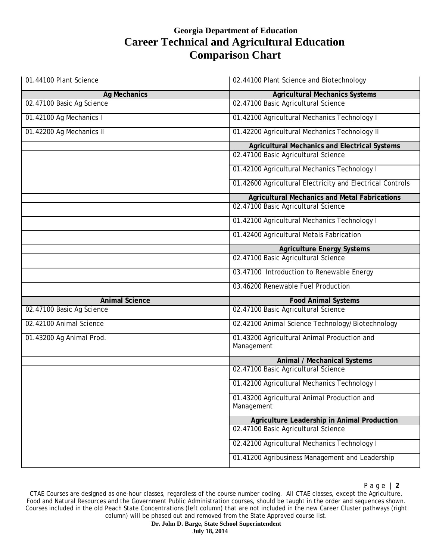| 01.44100 Plant Science    | 02.44100 Plant Science and Biotechnology                  |
|---------------------------|-----------------------------------------------------------|
| <b>Ag Mechanics</b>       | <b>Agricultural Mechanics Systems</b>                     |
| 02.47100 Basic Ag Science | 02.47100 Basic Agricultural Science                       |
| 01.42100 Ag Mechanics I   | 01.42100 Agricultural Mechanics Technology I              |
| 01.42200 Ag Mechanics II  | 01.42200 Agricultural Mechanics Technology II             |
|                           | <b>Agricultural Mechanics and Electrical Systems</b>      |
|                           | 02.47100 Basic Agricultural Science                       |
|                           | 01.42100 Agricultural Mechanics Technology I              |
|                           | 01.42600 Agricultural Electricity and Electrical Controls |
|                           | <b>Agricultural Mechanics and Metal Fabrications</b>      |
|                           | 02.47100 Basic Agricultural Science                       |
|                           | 01.42100 Agricultural Mechanics Technology I              |
|                           | 01.42400 Agricultural Metals Fabrication                  |
|                           | <b>Agriculture Energy Systems</b>                         |
|                           | 02.47100 Basic Agricultural Science                       |
|                           | 03.47100 Introduction to Renewable Energy                 |
|                           | 03.46200 Renewable Fuel Production                        |
| <b>Animal Science</b>     | <b>Food Animal Systems</b>                                |
| 02.47100 Basic Ag Science | 02.47100 Basic Agricultural Science                       |
| 02.42100 Animal Science   | 02.42100 Animal Science Technology/Biotechnology          |
| 01.43200 Ag Animal Prod.  | 01.43200 Agricultural Animal Production and<br>Management |
|                           | Animal / Mechanical Systems                               |
|                           | 02.47100 Basic Agricultural Science                       |
|                           | 01.42100 Agricultural Mechanics Technology I              |
|                           | 01.43200 Agricultural Animal Production and<br>Management |
|                           | Agriculture Leadership in Animal Production               |
|                           | 02.47100 Basic Agricultural Science                       |
|                           | 02.42100 Agricultural Mechanics Technology I              |
|                           | 01.41200 Agribusiness Management and Leadership           |

CTAE Courses are designed as one-hour classes, regardless of the course number coding. All CTAE classes, except the Agriculture, Food and Natural Resources and the Government Public Administration courses, should be taught in the order and sequences shown. Courses included in the old Peach State Concentrations (left column) that are not included in the new Career Cluster pathways (right column) will be phased out and removed from the State Approved course list.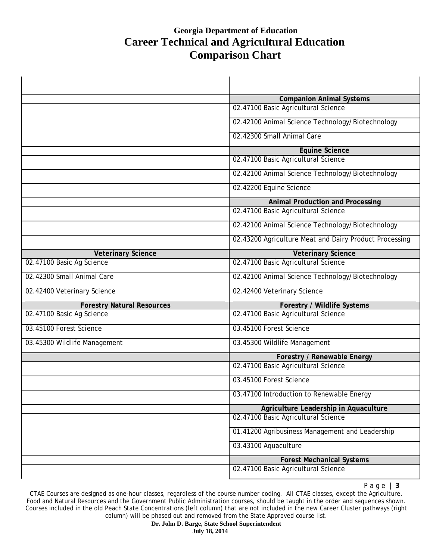t.

|                                   | <b>Companion Animal Systems</b>                        |
|-----------------------------------|--------------------------------------------------------|
|                                   | 02.47100 Basic Agricultural Science                    |
|                                   | 02.42100 Animal Science Technology/Biotechnology       |
|                                   | 02.42300 Small Animal Care                             |
|                                   | <b>Equine Science</b>                                  |
|                                   | 02.47100 Basic Agricultural Science                    |
|                                   | 02.42100 Animal Science Technology/Biotechnology       |
|                                   | 02.42200 Equine Science                                |
|                                   | <b>Animal Production and Processing</b>                |
|                                   | 02.47100 Basic Agricultural Science                    |
|                                   | 02.42100 Animal Science Technology/Biotechnology       |
|                                   | 02.43200 Agriculture Meat and Dairy Product Processing |
| <b>Veterinary Science</b>         | <b>Veterinary Science</b>                              |
| 02.47100 Basic Ag Science         | 02.47100 Basic Agricultural Science                    |
| 02.42300 Small Animal Care        | 02.42100 Animal Science Technology/Biotechnology       |
| 02.42400 Veterinary Science       | 02.42400 Veterinary Science                            |
| <b>Forestry Natural Resources</b> | <b>Forestry / Wildlife Systems</b>                     |
| 02.47100 Basic Ag Science         | 02.47100 Basic Agricultural Science                    |
| 03.45100 Forest Science           | 03.45100 Forest Science                                |
| 03.45300 Wildlife Management      | 03.45300 Wildlife Management                           |
|                                   | <b>Forestry / Renewable Energy</b>                     |
|                                   | 02.47100 Basic Agricultural Science                    |
|                                   | 03.45100 Forest Science                                |
|                                   | 03.47100 Introduction to Renewable Energy              |
|                                   | Agriculture Leadership in Aquaculture                  |
|                                   | 02.47100 Basic Agricultural Science                    |
|                                   | 01.41200 Agribusiness Management and Leadership        |
|                                   | 03.43100 Aquaculture                                   |
|                                   | <b>Forest Mechanical Systems</b>                       |
|                                   | 02.47100 Basic Agricultural Science                    |

Page | **3**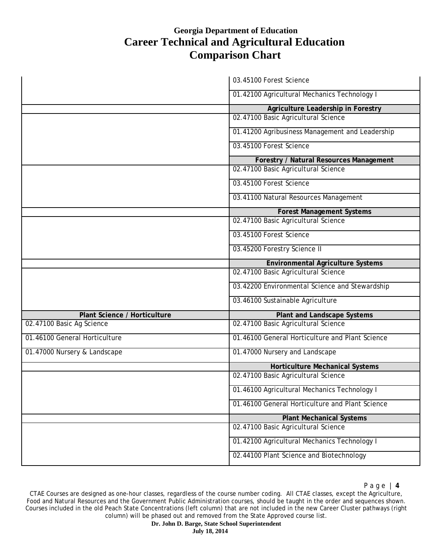|                               | 03.45100 Forest Science                         |
|-------------------------------|-------------------------------------------------|
|                               | 01.42100 Agricultural Mechanics Technology I    |
|                               | Agriculture Leadership in Forestry              |
|                               | 02.47100 Basic Agricultural Science             |
|                               | 01.41200 Agribusiness Management and Leadership |
|                               | 03.45100 Forest Science                         |
|                               | Forestry / Natural Resources Management         |
|                               | 02.47100 Basic Agricultural Science             |
|                               | 03.45100 Forest Science                         |
|                               | 03.41100 Natural Resources Management           |
|                               | <b>Forest Management Systems</b>                |
|                               | 02.47100 Basic Agricultural Science             |
|                               | 03.45100 Forest Science                         |
|                               | 03.45200 Forestry Science II                    |
|                               | <b>Environmental Agriculture Systems</b>        |
|                               | 02.47100 Basic Agricultural Science             |
|                               | 03.42200 Environmental Science and Stewardship  |
|                               | 03.46100 Sustainable Agriculture                |
| Plant Science / Horticulture  | <b>Plant and Landscape Systems</b>              |
| 02.47100 Basic Ag Science     | 02.47100 Basic Agricultural Science             |
| 01.46100 General Horticulture | 01.46100 General Horticulture and Plant Science |
| 01.47000 Nursery & Landscape  | 01.47000 Nursery and Landscape                  |
|                               | <b>Horticulture Mechanical Systems</b>          |
|                               | 02.47100 Basic Agricultural Science             |
|                               | 01.46100 Agricultural Mechanics Technology I    |
|                               | 01.46100 General Horticulture and Plant Science |
|                               | <b>Plant Mechanical Systems</b>                 |
|                               | 02.47100 Basic Agricultural Science             |
|                               | 01.42100 Agricultural Mechanics Technology I    |
|                               | 02.44100 Plant Science and Biotechnology        |

CTAE Courses are designed as one-hour classes, regardless of the course number coding. All CTAE classes, except the Agriculture, Food and Natural Resources and the Government Public Administration courses, should be taught in the order and sequences shown. Courses included in the old Peach State Concentrations (left column) that are not included in the new Career Cluster pathways (right column) will be phased out and removed from the State Approved course list.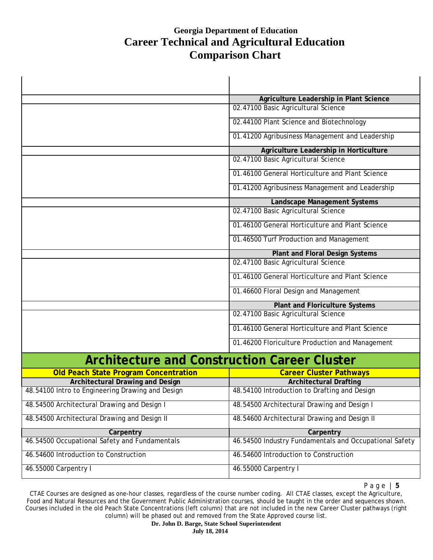$\ddot{\phantom{a}}$ 

|                                                     | Agriculture Leadership in Plant Science                |
|-----------------------------------------------------|--------------------------------------------------------|
|                                                     | 02.47100 Basic Agricultural Science                    |
|                                                     | 02.44100 Plant Science and Biotechnology               |
|                                                     | 01.41200 Agribusiness Management and Leadership        |
|                                                     | Agriculture Leadership in Horticulture                 |
|                                                     | 02.47100 Basic Agricultural Science                    |
|                                                     | 01.46100 General Horticulture and Plant Science        |
|                                                     | 01.41200 Agribusiness Management and Leadership        |
|                                                     | Landscape Management Systems                           |
|                                                     | 02.47100 Basic Agricultural Science                    |
|                                                     | 01.46100 General Horticulture and Plant Science        |
|                                                     | 01.46500 Turf Production and Management                |
|                                                     | Plant and Floral Design Systems                        |
|                                                     | 02.47100 Basic Agricultural Science                    |
|                                                     | 01.46100 General Horticulture and Plant Science        |
|                                                     | 01.46600 Floral Design and Management                  |
|                                                     | <b>Plant and Floriculture Systems</b>                  |
|                                                     | 02.47100 Basic Agricultural Science                    |
|                                                     | 01.46100 General Horticulture and Plant Science        |
|                                                     | 01.46200 Floriculture Production and Management        |
| <b>Architecture and Construction Career Cluster</b> |                                                        |
| <b>Old Peach State Program Concentration</b>        | <b>Career Cluster Pathways</b>                         |
| <b>Architectural Drawing and Design</b>             | <b>Architectural Drafting</b>                          |
| 48.54100 Intro to Engineering Drawing and Design    | 48.54100 Introduction to Drafting and Design           |
| 48.54500 Architectural Drawing and Design I         | 48.54500 Architectural Drawing and Design I            |
| 48.54500 Architectural Drawing and Design II        | 48.54600 Architectural Drawing and Design II           |
| Carpentry                                           | Carpentry                                              |
| 46.54500 Occupational Safety and Fundamentals       | 46.54500 Industry Fundamentals and Occupational Safety |
| 46.54600 Introduction to Construction               | 46.54600 Introduction to Construction                  |
| 46.55000 Carpentry I                                | 46.55000 Carpentry I                                   |

Page | **5**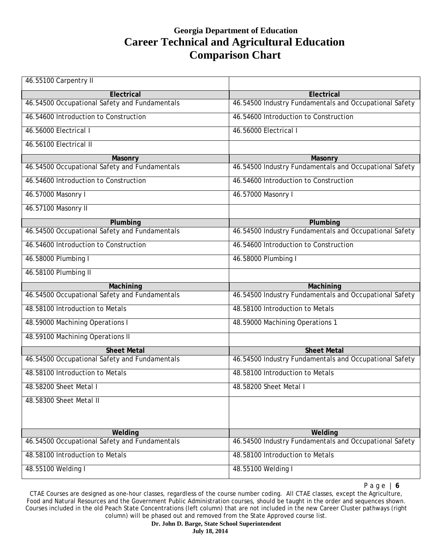| 46.55100 Carpentry II                         |                                                        |
|-----------------------------------------------|--------------------------------------------------------|
| Electrical                                    | Electrical                                             |
| 46.54500 Occupational Safety and Fundamentals | 46.54500 Industry Fundamentals and Occupational Safety |
| 46.54600 Introduction to Construction         | 46.54600 Introduction to Construction                  |
| 46.56000 Electrical I                         | 46.56000 Electrical I                                  |
| 46.56100 Electrical II                        |                                                        |
| Masonry                                       | Masonry                                                |
| 46.54500 Occupational Safety and Fundamentals | 46.54500 Industry Fundamentals and Occupational Safety |
| 46.54600 Introduction to Construction         | 46.54600 Introduction to Construction                  |
| 46.57000 Masonry I                            | 46.57000 Masonry I                                     |
| 46.57100 Masonry II                           |                                                        |
| Plumbing                                      | Plumbing                                               |
| 46.54500 Occupational Safety and Fundamentals | 46.54500 Industry Fundamentals and Occupational Safety |
| 46.54600 Introduction to Construction         | 46.54600 Introduction to Construction                  |
| 46.58000 Plumbing I                           | 46.58000 Plumbing I                                    |
| 46.58100 Plumbing II                          |                                                        |
| Machining                                     | Machining                                              |
| 46.54500 Occupational Safety and Fundamentals | 46.54500 Industry Fundamentals and Occupational Safety |
| 48.58100 Introduction to Metals               | 48.58100 Introduction to Metals                        |
| 48.59000 Machining Operations I               | 48.59000 Machining Operations 1                        |
| 48.59100 Machining Operations II              |                                                        |
| <b>Sheet Metal</b>                            | <b>Sheet Metal</b>                                     |
| 46.54500 Occupational Safety and Fundamentals | 46.54500 Industry Fundamentals and Occupational Safety |
| 48.58100 Introduction to Metals               | 48.58100 Introduction to Metals                        |
| 48.58200 Sheet Metal I                        | 48.58200 Sheet Metal I                                 |
| 48.58300 Sheet Metal II                       |                                                        |
| Welding                                       | Welding                                                |
| 46.54500 Occupational Safety and Fundamentals | 46.54500 Industry Fundamentals and Occupational Safety |
| 48.58100 Introduction to Metals               | 48.58100 Introduction to Metals                        |
| 48.55100 Welding I                            | 48.55100 Welding I                                     |

Page | **6**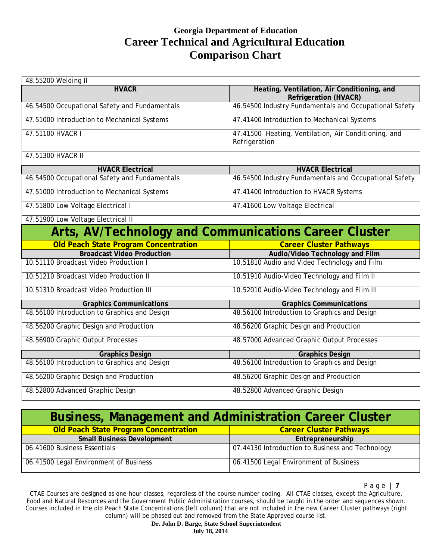| 48.55200 Welding II                                   |                                                                             |
|-------------------------------------------------------|-----------------------------------------------------------------------------|
| <b>HVACR</b>                                          | Heating, Ventilation, Air Conditioning, and<br><b>Refrigeration (HVACR)</b> |
| 46.54500 Occupational Safety and Fundamentals         | 46.54500 Industry Fundamentals and Occupational Safety                      |
| 47.51000 Introduction to Mechanical Systems           | 47.41400 Introduction to Mechanical Systems                                 |
| 47.51100 HVACR I                                      | 47.41500 Heating, Ventilation, Air Conditioning, and<br>Refrigeration       |
| 47.51300 HVACR II                                     |                                                                             |
| <b>HVACR Electrical</b>                               | <b>HVACR Electrical</b>                                                     |
| 46.54500 Occupational Safety and Fundamentals         | 46.54500 Industry Fundamentals and Occupational Safety                      |
| 47.51000 Introduction to Mechanical Systems           | 47.41400 Introduction to HVACR Systems                                      |
| 47.51800 Low Voltage Electrical I                     | 47.41600 Low Voltage Electrical                                             |
| 47.51900 Low Voltage Electrical II                    |                                                                             |
| Arts, AV/Technology and Communications Career Cluster |                                                                             |
|                                                       |                                                                             |
| <b>Old Peach State Program Concentration</b>          | <b>Career Cluster Pathways</b>                                              |
| <b>Broadcast Video Production</b>                     | Audio/Video Technology and Film                                             |
| 10.51110 Broadcast Video Production I                 | 10.51810 Audio and Video Technology and Film                                |
| 10.51210 Broadcast Video Production II                | 10.51910 Audio-Video Technology and Film II                                 |
| 10.51310 Broadcast Video Production III               | 10.52010 Audio-Video Technology and Film III                                |
| <b>Graphics Communications</b>                        | <b>Graphics Communications</b>                                              |
| 48.56100 Introduction to Graphics and Design          | 48.56100 Introduction to Graphics and Design                                |
| 48.56200 Graphic Design and Production                | 48.56200 Graphic Design and Production                                      |
| 48.56900 Graphic Output Processes                     | 48.57000 Advanced Graphic Output Processes                                  |
| <b>Graphics Design</b>                                | <b>Graphics Design</b>                                                      |
| 48.56100 Introduction to Graphics and Design          | 48.56100 Introduction to Graphics and Design                                |
| 48.56200 Graphic Design and Production                | 48.56200 Graphic Design and Production                                      |

| <b>Business, Management and Administration Career Cluster</b> |                                                  |
|---------------------------------------------------------------|--------------------------------------------------|
| Old Peach State Program Concentration                         | <b>Career Cluster Pathways</b>                   |
| <b>Small Business Development</b>                             | Entrepreneurship                                 |
| 06.41600 Business Essentials                                  | 07.44130 Introduction to Business and Technology |
| 06.41500 Legal Environment of Business                        | 06.41500 Legal Environment of Business           |

Page | **7**

CTAE Courses are designed as one-hour classes, regardless of the course number coding. All CTAE classes, except the Agriculture, Food and Natural Resources and the Government Public Administration courses, should be taught in the order and sequences shown. Courses included in the old Peach State Concentrations (left column) that are not included in the new Career Cluster pathways (right column) will be phased out and removed from the State Approved course list.

#### **Dr. John D. Barge, State School Superintendent July 18, 2014**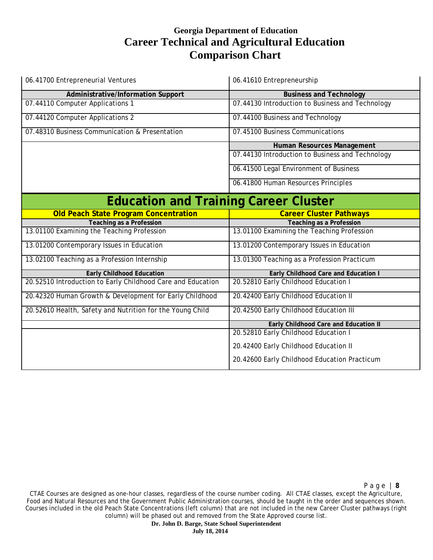| 06.41700 Entrepreneurial Ventures                           | 06.41610 Entrepreneurship                        |
|-------------------------------------------------------------|--------------------------------------------------|
| Administrative/Information Support                          | <b>Business and Technology</b>                   |
| 07.44110 Computer Applications 1                            | 07.44130 Introduction to Business and Technology |
| 07.44120 Computer Applications 2                            | 07.44100 Business and Technology                 |
| 07.48310 Business Communication & Presentation              | 07.45100 Business Communications                 |
|                                                             | Human Resources Management                       |
|                                                             | 07.44130 Introduction to Business and Technology |
|                                                             | 06.41500 Legal Environment of Business           |
|                                                             | 06.41800 Human Resources Principles              |
| <b>Education and Training Career Cluster</b>                |                                                  |
| <b>Old Peach State Program Concentration</b>                | <b>Career Cluster Pathways</b>                   |
| <b>Teaching as a Profession</b>                             | <b>Teaching as a Profession</b>                  |
| 13.01100 Examining the Teaching Profession                  | 13.01100 Examining the Teaching Profession       |
| 13.01200 Contemporary Issues in Education                   | 13.01200 Contemporary Issues in Education        |
| 13.02100 Teaching as a Profession Internship                | 13.01300 Teaching as a Profession Practicum      |
| <b>Early Childhood Education</b>                            | Early Childhood Care and Education I             |
| 20.52510 Introduction to Early Childhood Care and Education | 20.52810 Early Childhood Education I             |
| 20.42320 Human Growth & Development for Early Childhood     | 20.42400 Early Childhood Education II            |
|                                                             |                                                  |
| 20.52610 Health, Safety and Nutrition for the Young Child   | 20.42500 Early Childhood Education III           |
|                                                             | Early Childhood Care and Education II            |
|                                                             | 20.52810 Early Childhood Education I             |
|                                                             | 20.42400 Early Childhood Education II            |

Page | **8**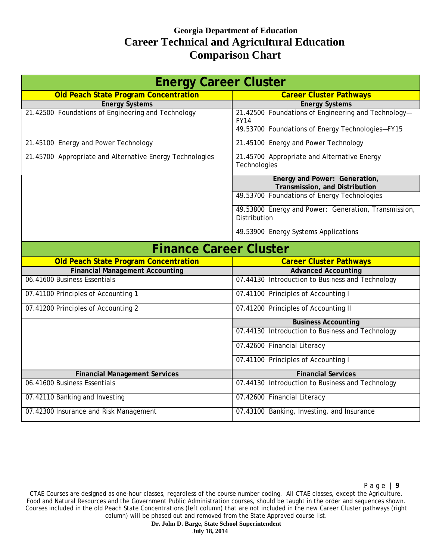| <b>Energy Career Cluster</b>                             |                                                      |
|----------------------------------------------------------|------------------------------------------------------|
| <b>Old Peach State Program Concentration</b>             | <b>Career Cluster Pathways</b>                       |
| <b>Energy Systems</b>                                    | <b>Energy Systems</b>                                |
| 21.42500 Foundations of Engineering and Technology       | 21.42500 Foundations of Engineering and Technology-  |
|                                                          | <b>FY14</b>                                          |
|                                                          | 49.53700 Foundations of Energy Technologies-FY15     |
| 21.45100 Energy and Power Technology                     | 21.45100 Energy and Power Technology                 |
| 21.45700 Appropriate and Alternative Energy Technologies | 21.45700 Appropriate and Alternative Energy          |
|                                                          | Technologies                                         |
|                                                          | Energy and Power: Generation,                        |
|                                                          | Transmission, and Distribution                       |
|                                                          | 49.53700 Foundations of Energy Technologies          |
|                                                          | 49.53800 Energy and Power: Generation, Transmission, |
|                                                          | Distribution                                         |
|                                                          | 49.53900 Energy Systems Applications                 |
| <b>Finance Career Cluster</b>                            |                                                      |
| <b>Old Peach State Program Concentration</b>             | <b>Career Cluster Pathways</b>                       |
| <b>Financial Management Accounting</b>                   | <b>Advanced Accounting</b>                           |
| 06.41600 Business Essentials                             | 07.44130 Introduction to Business and Technology     |
| 07.41100 Principles of Accounting 1                      | 07.41100 Principles of Accounting I                  |
| 07.41200 Principles of Accounting 2                      | 07.41200 Principles of Accounting II                 |
|                                                          | <b>Business Accounting</b>                           |
|                                                          | 07.44130 Introduction to Business and Technology     |
|                                                          | 07.42600 Financial Literacy                          |
|                                                          | 07.41100 Principles of Accounting I                  |
| <b>Financial Management Services</b>                     | <b>Financial Services</b>                            |
| 06.41600 Business Essentials                             | 07.44130 Introduction to Business and Technology     |
| 07.42110 Banking and Investing                           | 07.42600 Financial Literacy                          |
| 07.42300 Insurance and Risk Management                   | 07.43100 Banking, Investing, and Insurance           |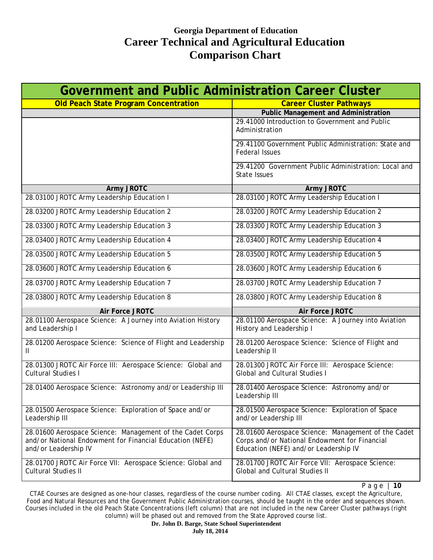| <b>Government and Public Administration Career Cluster</b>                                                                                    |                                                                                                                                               |
|-----------------------------------------------------------------------------------------------------------------------------------------------|-----------------------------------------------------------------------------------------------------------------------------------------------|
| <b>Old Peach State Program Concentration</b>                                                                                                  | <b>Career Cluster Pathways</b>                                                                                                                |
|                                                                                                                                               | <b>Public Management and Administration</b>                                                                                                   |
|                                                                                                                                               | 29.41000 Introduction to Government and Public<br>Administration                                                                              |
|                                                                                                                                               | 29.41100 Government Public Administration: State and<br><b>Federal Issues</b>                                                                 |
|                                                                                                                                               | 29.41200 Government Public Administration: Local and<br>State Issues                                                                          |
| <b>Army JROTC</b>                                                                                                                             | Army JROTC                                                                                                                                    |
| 28.03100 JROTC Army Leadership Education I                                                                                                    | 28.03100 JROTC Army Leadership Education I                                                                                                    |
| 28.03200 JROTC Army Leadership Education 2                                                                                                    | 28.03200 JROTC Army Leadership Education 2                                                                                                    |
| 28.03300 JROTC Army Leadership Education 3                                                                                                    | 28.03300 JROTC Army Leadership Education 3                                                                                                    |
| 28.03400 JROTC Army Leadership Education 4                                                                                                    | 28.03400 JROTC Army Leadership Education 4                                                                                                    |
| 28.03500 JROTC Army Leadership Education 5                                                                                                    | 28.03500 JROTC Army Leadership Education 5                                                                                                    |
| 28.03600 JROTC Army Leadership Education 6                                                                                                    | 28.03600 JROTC Army Leadership Education 6                                                                                                    |
| 28.03700 JROTC Army Leadership Education 7                                                                                                    | 28.03700 JROTC Army Leadership Education 7                                                                                                    |
| 28.03800 JROTC Army Leadership Education 8                                                                                                    | 28.03800 JROTC Army Leadership Education 8                                                                                                    |
| Air Force JROTC                                                                                                                               | <b>Air Force JROTC</b>                                                                                                                        |
| 28.01100 Aerospace Science: A Journey into Aviation History<br>and Leadership I                                                               | 28.01100 Aerospace Science: A Journey into Aviation<br>History and Leadership I                                                               |
| 28.01200 Aerospace Science: Science of Flight and Leadership<br>$\mathbf{H}$                                                                  | 28.01200 Aerospace Science: Science of Flight and<br>Leadership II                                                                            |
| 28.01300 JROTC Air Force III: Aerospace Science: Global and<br><b>Cultural Studies I</b>                                                      | 28.01300 JROTC Air Force III: Aerospace Science:<br><b>Global and Cultural Studies I</b>                                                      |
| 28.01400 Aerospace Science: Astronomy and/or Leadership III                                                                                   | 28.01400 Aerospace Science: Astronomy and/or<br>Leadership III                                                                                |
| 28.01500 Aerospace Science: Exploration of Space and/or<br>Leadership III                                                                     | 28.01500 Aerospace Science: Exploration of Space<br>and/or Leadership III                                                                     |
| 28.01600 Aerospace Science: Management of the Cadet Corps<br>and/or National Endowment for Financial Education (NEFE)<br>and/or Leadership IV | 28.01600 Aerospace Science: Management of the Cadet<br>Corps and/or National Endowment for Financial<br>Education (NEFE) and/or Leadership IV |
| 28.01700 JROTC Air Force VII: Aerospace Science: Global and<br><b>Cultural Studies II</b>                                                     | 28.01700 JROTC Air Force VII: Aerospace Science:<br><b>Global and Cultural Studies II</b>                                                     |

Page | **10**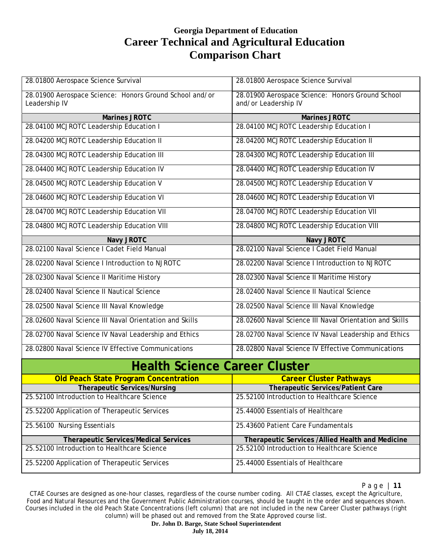| 28.01800 Aerospace Science Survival                                      | 28.01800 Aerospace Science Survival                                      |
|--------------------------------------------------------------------------|--------------------------------------------------------------------------|
| 28.01900 Aerospace Science: Honors Ground School and/or<br>Leadership IV | 28.01900 Aerospace Science: Honors Ground School<br>and/or Leadership IV |
| <b>Marines JROTC</b>                                                     | <b>Marines JROTC</b>                                                     |
| 28.04100 MCJROTC Leadership Education I                                  | 28.04100 MCJROTC Leadership Education I                                  |
| 28.04200 MCJROTC Leadership Education II                                 | 28.04200 MCJROTC Leadership Education II                                 |
| 28.04300 MCJROTC Leadership Education III                                | 28.04300 MCJROTC Leadership Education III                                |
| 28.04400 MCJROTC Leadership Education IV                                 | 28.04400 MCJROTC Leadership Education IV                                 |
| 28.04500 MCJROTC Leadership Education V                                  | 28.04500 MCJROTC Leadership Education V                                  |
| 28.04600 MCJROTC Leadership Education VI                                 | 28.04600 MCJROTC Leadership Education VI                                 |
| 28.04700 MCJROTC Leadership Education VII                                | 28.04700 MCJROTC Leadership Education VII                                |
| 28.04800 MCJROTC Leadership Education VIII                               | 28.04800 MCJROTC Leadership Education VIII                               |
| Navy JROTC                                                               | <b>Navy JROTC</b>                                                        |
| 28.02100 Naval Science I Cadet Field Manual                              | 28.02100 Naval Science I Cadet Field Manual                              |
| 28.02200 Naval Science I Introduction to NJROTC                          | 28.02200 Naval Science I Introduction to NJROTC                          |
| 28.02300 Naval Science II Maritime History                               | 28.02300 Naval Science II Maritime History                               |
| 28.02400 Naval Science II Nautical Science                               | 28.02400 Naval Science II Nautical Science                               |
| 28.02500 Naval Science III Naval Knowledge                               | 28.02500 Naval Science III Naval Knowledge                               |
| 28.02600 Naval Science III Naval Orientation and Skills                  | 28.02600 Naval Science III Naval Orientation and Skills                  |
| 28.02700 Naval Science IV Naval Leadership and Ethics                    | 28.02700 Naval Science IV Naval Leadership and Ethics                    |
| 28.02800 Naval Science IV Effective Communications                       | 28.02800 Naval Science IV Effective Communications                       |
| <b>Health Science Career Cluster</b>                                     |                                                                          |
| <b>Old Peach State Program Concentration</b>                             | <b>Career Cluster Pathways</b>                                           |
| <b>Therapeutic Services/Nursing</b>                                      | Therapeutic Services/Patient Care                                        |
| 25.52100 Introduction to Healthcare Science                              | 25.52100 Introduction to Healthcare Science                              |
| 25.52200 Application of Therapeutic Services                             | 25.44000 Essentials of Healthcare                                        |
| 25.56100 Nursing Essentials                                              | 25.43600 Patient Care Fundamentals                                       |
| <b>Therapeutic Services/Medical Services</b>                             | Therapeutic Services /Allied Health and Medicine                         |
| 25.52100 Introduction to Healthcare Science                              | 25.52100 Introduction to Healthcare Science                              |
| 25.52200 Application of Therapeutic Services                             | 25.44000 Essentials of Healthcare                                        |

Page | **11**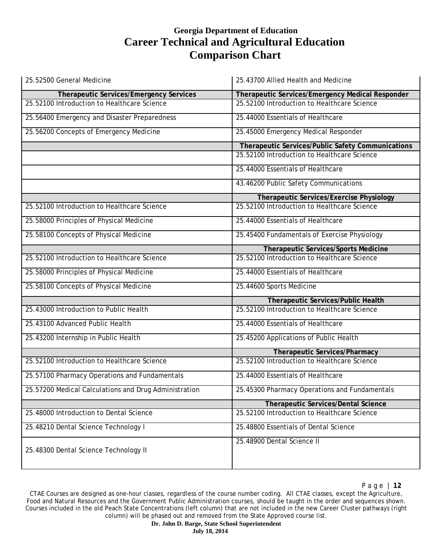| 25.52500 General Medicine                             | 25.43700 Allied Health and Medicine               |
|-------------------------------------------------------|---------------------------------------------------|
| Therapeutic Services/Emergency Services               | Therapeutic Services/Emergency Medical Responder  |
| 25.52100 Introduction to Healthcare Science           | 25.52100 Introduction to Healthcare Science       |
| 25.56400 Emergency and Disaster Preparedness          | 25.44000 Essentials of Healthcare                 |
| 25.56200 Concepts of Emergency Medicine               | 25.45000 Emergency Medical Responder              |
|                                                       | Therapeutic Services/Public Safety Communications |
|                                                       | 25.52100 Introduction to Healthcare Science       |
|                                                       | 25.44000 Essentials of Healthcare                 |
|                                                       | 43.46200 Public Safety Communications             |
|                                                       | <b>Therapeutic Services/Exercise Physiology</b>   |
| 25.52100 Introduction to Healthcare Science           | 25.52100 Introduction to Healthcare Science       |
| 25.58000 Principles of Physical Medicine              | 25.44000 Essentials of Healthcare                 |
| 25.58100 Concepts of Physical Medicine                | 25.45400 Fundamentals of Exercise Physiology      |
|                                                       | <b>Therapeutic Services/Sports Medicine</b>       |
| 25.52100 Introduction to Healthcare Science           | 25.52100 Introduction to Healthcare Science       |
| 25.58000 Principles of Physical Medicine              | 25.44000 Essentials of Healthcare                 |
| 25.58100 Concepts of Physical Medicine                | 25.44600 Sports Medicine                          |
|                                                       | Therapeutic Services/Public Health                |
| 25.43000 Introduction to Public Health                | 25.52100 Introduction to Healthcare Science       |
| 25.43100 Advanced Public Health                       | 25.44000 Essentials of Healthcare                 |
| 25.43200 Internship in Public Health                  | 25.45200 Applications of Public Health            |
|                                                       | Therapeutic Services/Pharmacy                     |
| 25.52100 Introduction to Healthcare Science           | 25.52100 Introduction to Healthcare Science       |
| 25.57100 Pharmacy Operations and Fundamentals         | 25.44000 Essentials of Healthcare                 |
| 25.57200 Medical Calculations and Drug Administration | 25.45300 Pharmacy Operations and Fundamentals     |
|                                                       | <b>Therapeutic Services/Dental Science</b>        |
| 25.48000 Introduction to Dental Science               | 25.52100 Introduction to Healthcare Science       |
| 25.48210 Dental Science Technology I                  | 25.48800 Essentials of Dental Science             |
| 25.48300 Dental Science Technology II                 | 25.48900 Dental Science II                        |

CTAE Courses are designed as one-hour classes, regardless of the course number coding. All CTAE classes, except the Agriculture, Food and Natural Resources and the Government Public Administration courses, should be taught in the order and sequences shown. Courses included in the old Peach State Concentrations (left column) that are not included in the new Career Cluster pathways (right column) will be phased out and removed from the State Approved course list.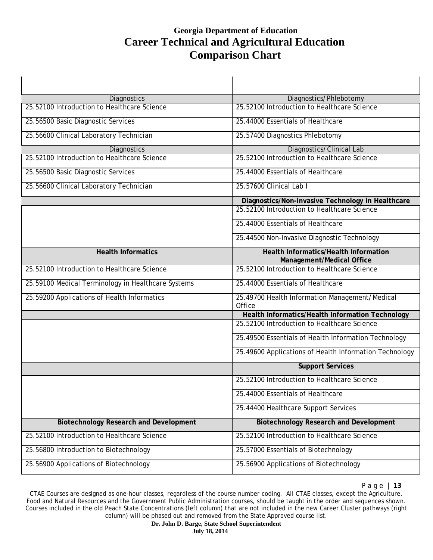$\blacksquare$ 

| Diagnostics                                        | Diagnostics/Phlebotomy                                                    |
|----------------------------------------------------|---------------------------------------------------------------------------|
| 25.52100 Introduction to Healthcare Science        | 25.52100 Introduction to Healthcare Science                               |
| 25.56500 Basic Diagnostic Services                 | 25.44000 Essentials of Healthcare                                         |
| 25.56600 Clinical Laboratory Technician            | 25.57400 Diagnostics Phlebotomy                                           |
| Diagnostics                                        | Diagnostics/Clinical Lab                                                  |
| 25.52100 Introduction to Healthcare Science        | 25.52100 Introduction to Healthcare Science                               |
| 25.56500 Basic Diagnostic Services                 | 25.44000 Essentials of Healthcare                                         |
| 25.56600 Clinical Laboratory Technician            | 25.57600 Clinical Lab I                                                   |
|                                                    | Diagnostics/Non-invasive Technology in Healthcare                         |
|                                                    | 25.52100 Introduction to Healthcare Science                               |
|                                                    | 25.44000 Essentials of Healthcare                                         |
|                                                    | 25.44500 Non-Invasive Diagnostic Technology                               |
| <b>Health Informatics</b>                          | <b>Health Informatics/Health Information</b><br>Management/Medical Office |
| 25.52100 Introduction to Healthcare Science        | 25.52100 Introduction to Healthcare Science                               |
| 25.59100 Medical Terminology in Healthcare Systems | 25.44000 Essentials of Healthcare                                         |
| 25.59200 Applications of Health Informatics        | 25.49700 Health Information Management/Medical<br>Office                  |
|                                                    | Health Informatics/Health Information Technology                          |
|                                                    | 25.52100 Introduction to Healthcare Science                               |
|                                                    | 25.49500 Essentials of Health Information Technology                      |
|                                                    | 25.49600 Applications of Health Information Technology                    |
|                                                    | <b>Support Services</b>                                                   |
|                                                    | 25.52100 Introduction to Healthcare Science                               |
|                                                    | 25.44000 Essentials of Healthcare                                         |
|                                                    | 25.44400 Healthcare Support Services                                      |
| <b>Biotechnology Research and Development</b>      | <b>Biotechnology Research and Development</b>                             |
| 25.52100 Introduction to Healthcare Science        | 25.52100 Introduction to Healthcare Science                               |
| 25.56800 Introduction to Biotechnology             | 25.57000 Essentials of Biotechnology                                      |
| 25.56900 Applications of Biotechnology             | 25.56900 Applications of Biotechnology                                    |

Page | **13**

 $\mathbf{I}$ 

CTAE Courses are designed as one-hour classes, regardless of the course number coding. All CTAE classes, except the Agriculture, Food and Natural Resources and the Government Public Administration courses, should be taught in the order and sequences shown. Courses included in the old Peach State Concentrations (left column) that are not included in the new Career Cluster pathways (right column) will be phased out and removed from the State Approved course list.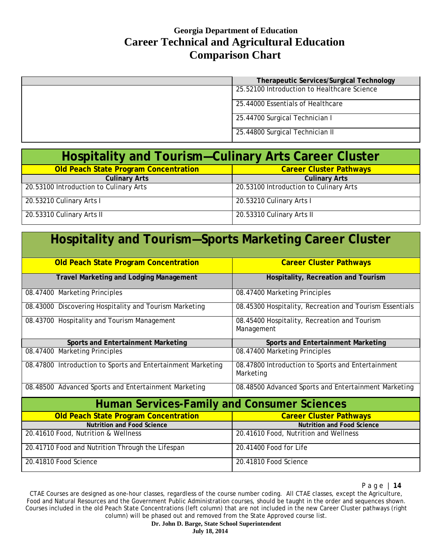| <b>Therapeutic Services/Surgical Technology</b> |
|-------------------------------------------------|
| 25.52100 Introduction to Healthcare Science     |
| 25.44000 Essentials of Healthcare               |
| 25.44700 Surgical Technician I                  |
| 25.44800 Surgical Technician II                 |

| <b>Hospitality and Tourism–Culinary Arts Career Cluster</b> |                                        |  |
|-------------------------------------------------------------|----------------------------------------|--|
| <b>Old Peach State Program Concentration</b>                | <b>Career Cluster Pathways</b>         |  |
| <b>Culinary Arts</b>                                        | <b>Culinary Arts</b>                   |  |
| 20.53100 Introduction to Culinary Arts                      | 20.53100 Introduction to Culinary Arts |  |
| 20.53210 Culinary Arts I                                    | 20.53210 Culinary Arts I               |  |
| 20.53310 Culinary Arts II                                   | 20.53310 Culinary Arts II              |  |

| <b>Hospitality and Tourism-Sports Marketing Career Cluster</b> |                                                                |  |
|----------------------------------------------------------------|----------------------------------------------------------------|--|
| <b>Old Peach State Program Concentration</b>                   | <b>Career Cluster Pathways</b>                                 |  |
| <b>Travel Marketing and Lodging Management</b>                 | Hospitality, Recreation and Tourism                            |  |
| 08.47400 Marketing Principles                                  | 08.47400 Marketing Principles                                  |  |
| 08.43000 Discovering Hospitality and Tourism Marketing         | 08.45300 Hospitality, Recreation and Tourism Essentials        |  |
| 08.43700 Hospitality and Tourism Management                    | 08.45400 Hospitality, Recreation and Tourism<br>Management     |  |
| Sports and Entertainment Marketing                             | Sports and Entertainment Marketing                             |  |
| 08.47400 Marketing Principles                                  | 08.47400 Marketing Principles                                  |  |
| 08.47800 Introduction to Sports and Entertainment Marketing    | 08.47800 Introduction to Sports and Entertainment<br>Marketing |  |
| 08.48500 Advanced Sports and Entertainment Marketing           | 08.48500 Advanced Sports and Entertainment Marketing           |  |
| <b>Human Services-Family and Consumer Sciences</b>             |                                                                |  |
| <b>Old Peach State Program Concentration</b>                   | <b>Career Cluster Pathways</b>                                 |  |
| <b>Nutrition and Food Science</b>                              | <b>Nutrition and Food Science</b>                              |  |
| 20.41610 Food, Nutrition & Wellness                            | 20.41610 Food, Nutrition and Wellness                          |  |
| 20.41710 Food and Nutrition Through the Lifespan               | 20.41400 Food for Life                                         |  |
| 20.41810 Food Science                                          | 20.41810 Food Science                                          |  |

Page | **14**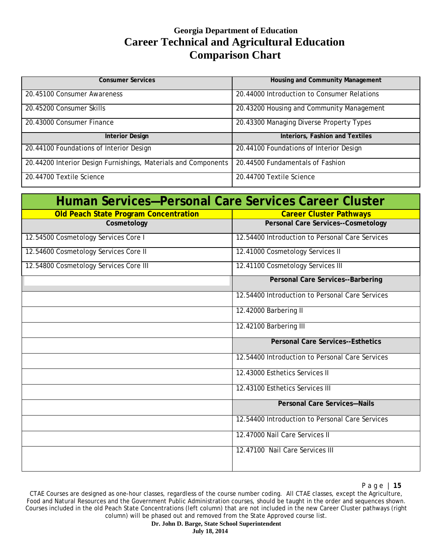| <b>Consumer Services</b>                                       | Housing and Community Management            |
|----------------------------------------------------------------|---------------------------------------------|
| 20.45100 Consumer Awareness                                    | 20.44000 Introduction to Consumer Relations |
| 20.45200 Consumer Skills                                       | 20.43200 Housing and Community Management   |
| 20.43000 Consumer Finance                                      | 20.43300 Managing Diverse Property Types    |
| <b>Interior Design</b>                                         | Interiors, Fashion and Textiles             |
| 20.44100 Foundations of Interior Design                        | 20.44100 Foundations of Interior Design     |
| 20.44200 Interior Design Furnishings, Materials and Components | 20.44500 Fundamentals of Fashion            |
| 20.44700 Textile Science                                       | 20.44700 Textile Science                    |

| Human Services-Personal Care Services Career Cluster |                                                 |
|------------------------------------------------------|-------------------------------------------------|
| <b>Old Peach State Program Concentration</b>         | <b>Career Cluster Pathways</b>                  |
| Cosmetology                                          | <b>Personal Care Services--Cosmetology</b>      |
| 12.54500 Cosmetology Services Core I                 | 12.54400 Introduction to Personal Care Services |
| 12.54600 Cosmetology Services Core II                | 12.41000 Cosmetology Services II                |
| 12.54800 Cosmetology Services Core III               | 12.41100 Cosmetology Services III               |
|                                                      | <b>Personal Care Services--Barbering</b>        |
|                                                      | 12.54400 Introduction to Personal Care Services |
|                                                      | 12.42000 Barbering II                           |
|                                                      | 12.42100 Barbering III                          |
|                                                      | <b>Personal Care Services--Esthetics</b>        |
|                                                      | 12.54400 Introduction to Personal Care Services |
|                                                      | 12.43000 Esthetics Services II                  |
|                                                      | 12.43100 Esthetics Services III                 |
|                                                      | <b>Personal Care Services-Nails</b>             |
|                                                      | 12.54400 Introduction to Personal Care Services |
|                                                      | 12.47000 Nail Care Services II                  |
|                                                      | 12.47100 Nail Care Services III                 |

CTAE Courses are designed as one-hour classes, regardless of the course number coding. All CTAE classes, except the Agriculture, Food and Natural Resources and the Government Public Administration courses, should be taught in the order and sequences shown. Courses included in the old Peach State Concentrations (left column) that are not included in the new Career Cluster pathways (right column) will be phased out and removed from the State Approved course list.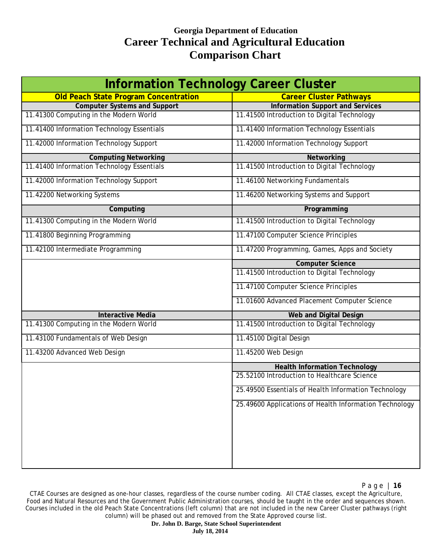| <b>Information Technology Career Cluster</b> |                                                        |
|----------------------------------------------|--------------------------------------------------------|
| <b>Old Peach State Program Concentration</b> | <b>Career Cluster Pathways</b>                         |
| <b>Computer Systems and Support</b>          | <b>Information Support and Services</b>                |
| 11.41300 Computing in the Modern World       | 11.41500 Introduction to Digital Technology            |
| 11.41400 Information Technology Essentials   | 11.41400 Information Technology Essentials             |
| 11.42000 Information Technology Support      | 11.42000 Information Technology Support                |
| <b>Computing Networking</b>                  | Networking                                             |
| 11.41400 Information Technology Essentials   | 11.41500 Introduction to Digital Technology            |
| 11.42000 Information Technology Support      | 11.46100 Networking Fundamentals                       |
| 11.42200 Networking Systems                  | 11.46200 Networking Systems and Support                |
| Computing                                    | Programming                                            |
| 11.41300 Computing in the Modern World       | 11.41500 Introduction to Digital Technology            |
| 11.41800 Beginning Programming               | 11.47100 Computer Science Principles                   |
| 11.42100 Intermediate Programming            | 11.47200 Programming, Games, Apps and Society          |
|                                              | <b>Computer Science</b>                                |
|                                              | 11.41500 Introduction to Digital Technology            |
|                                              | 11.47100 Computer Science Principles                   |
|                                              | 11.01600 Advanced Placement Computer Science           |
| <b>Interactive Media</b>                     | <b>Web and Digital Design</b>                          |
| 11.41300 Computing in the Modern World       | 11.41500 Introduction to Digital Technology            |
| 11.43100 Fundamentals of Web Design          | 11.45100 Digital Design                                |
| 11.43200 Advanced Web Design                 | 11.45200 Web Design                                    |
|                                              | <b>Health Information Technology</b>                   |
|                                              | 25.52100 Introduction to Healthcare Science            |
|                                              | 25.49500 Essentials of Health Information Technology   |
|                                              | 25.49600 Applications of Health Information Technology |
|                                              |                                                        |
|                                              |                                                        |
|                                              |                                                        |
|                                              |                                                        |

CTAE Courses are designed as one-hour classes, regardless of the course number coding. All CTAE classes, except the Agriculture, Food and Natural Resources and the Government Public Administration courses, should be taught in the order and sequences shown. Courses included in the old Peach State Concentrations (left column) that are not included in the new Career Cluster pathways (right column) will be phased out and removed from the State Approved course list.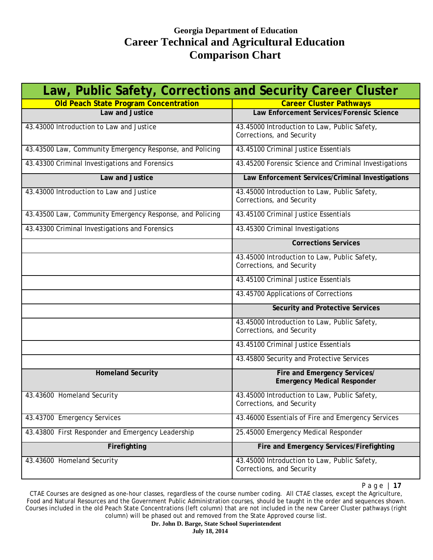| Law, Public Safety, Corrections and Security Career Cluster |                                                                           |
|-------------------------------------------------------------|---------------------------------------------------------------------------|
| <b>Old Peach State Program Concentration</b>                | <b>Career Cluster Pathways</b>                                            |
| Law and Justice                                             | Law Enforcement Services/Forensic Science                                 |
| 43.43000 Introduction to Law and Justice                    | 43.45000 Introduction to Law, Public Safety,<br>Corrections, and Security |
| 43.43500 Law, Community Emergency Response, and Policing    | 43.45100 Criminal Justice Essentials                                      |
| 43.43300 Criminal Investigations and Forensics              | 43.45200 Forensic Science and Criminal Investigations                     |
| Law and Justice                                             | Law Enforcement Services/Criminal Investigations                          |
| 43.43000 Introduction to Law and Justice                    | 43.45000 Introduction to Law, Public Safety,<br>Corrections, and Security |
| 43.43500 Law, Community Emergency Response, and Policing    | 43.45100 Criminal Justice Essentials                                      |
| 43.43300 Criminal Investigations and Forensics              | 43.45300 Criminal Investigations                                          |
|                                                             | <b>Corrections Services</b>                                               |
|                                                             | 43.45000 Introduction to Law, Public Safety,<br>Corrections, and Security |
|                                                             | 43.45100 Criminal Justice Essentials                                      |
|                                                             | 43.45700 Applications of Corrections                                      |
|                                                             | Security and Protective Services                                          |
|                                                             | 43.45000 Introduction to Law, Public Safety,<br>Corrections, and Security |
|                                                             | 43.45100 Criminal Justice Essentials                                      |
|                                                             | 43.45800 Security and Protective Services                                 |
| <b>Homeland Security</b>                                    | Fire and Emergency Services/<br><b>Emergency Medical Responder</b>        |
| 43.43600 Homeland Security                                  | 43.45000 Introduction to Law, Public Safety,<br>Corrections, and Security |
| 43.43700 Emergency Services                                 | 43.46000 Essentials of Fire and Emergency Services                        |
| 43.43800 First Responder and Emergency Leadership           | 25.45000 Emergency Medical Responder                                      |
| Firefighting                                                | Fire and Emergency Services/Firefighting                                  |
| 43.43600 Homeland Security                                  | 43.45000 Introduction to Law, Public Safety,<br>Corrections, and Security |

Page | **17**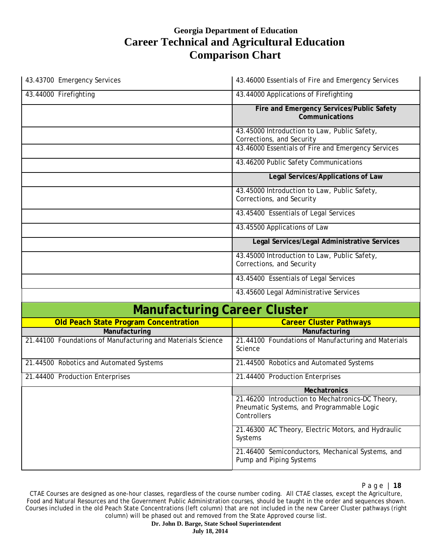| 43.43700 Emergency Services                                 | 43.46000 Essentials of Fire and Emergency Services                                                           |
|-------------------------------------------------------------|--------------------------------------------------------------------------------------------------------------|
| 43.44000 Firefighting                                       | 43.44000 Applications of Firefighting                                                                        |
|                                                             | Fire and Emergency Services/Public Safety<br>Communications                                                  |
|                                                             | 43.45000 Introduction to Law, Public Safety,<br>Corrections, and Security                                    |
|                                                             | 43.46000 Essentials of Fire and Emergency Services                                                           |
|                                                             | 43.46200 Public Safety Communications                                                                        |
|                                                             | Legal Services/Applications of Law                                                                           |
|                                                             | 43.45000 Introduction to Law, Public Safety,<br>Corrections, and Security                                    |
|                                                             | 43.45400 Essentials of Legal Services                                                                        |
|                                                             | 43.45500 Applications of Law                                                                                 |
|                                                             | Legal Services/Legal Administrative Services                                                                 |
|                                                             | 43.45000 Introduction to Law, Public Safety,<br>Corrections, and Security                                    |
|                                                             | 43.45400 Essentials of Legal Services                                                                        |
|                                                             | 43.45600 Legal Administrative Services                                                                       |
| <b>Manufacturing Career Cluster</b>                         |                                                                                                              |
| <b>Old Peach State Program Concentration</b>                | <b>Career Cluster Pathways</b>                                                                               |
| Manufacturing                                               | Manufacturing                                                                                                |
| 21.44100 Foundations of Manufacturing and Materials Science | 21.44100 Foundations of Manufacturing and Materials<br>Science                                               |
| 21.44500 Robotics and Automated Systems                     | 21.44500 Robotics and Automated Systems                                                                      |
| 21.44400 Production Enterprises                             | 21.44400 Production Enterprises                                                                              |
|                                                             | <b>Mechatronics</b>                                                                                          |
|                                                             | 21.46200 Introduction to Mechatronics-DC Theory,<br>Pneumatic Systems, and Programmable Logic<br>Controllers |
|                                                             | 21.46300 AC Theory, Electric Motors, and Hydraulic<br>Systems                                                |
|                                                             | 21.46400 Semiconductors, Mechanical Systems, and<br>Pump and Piping Systems                                  |

CTAE Courses are designed as one-hour classes, regardless of the course number coding. All CTAE classes, except the Agriculture, Food and Natural Resources and the Government Public Administration courses, should be taught in the order and sequences shown. Courses included in the old Peach State Concentrations (left column) that are not included in the new Career Cluster pathways (right column) will be phased out and removed from the State Approved course list.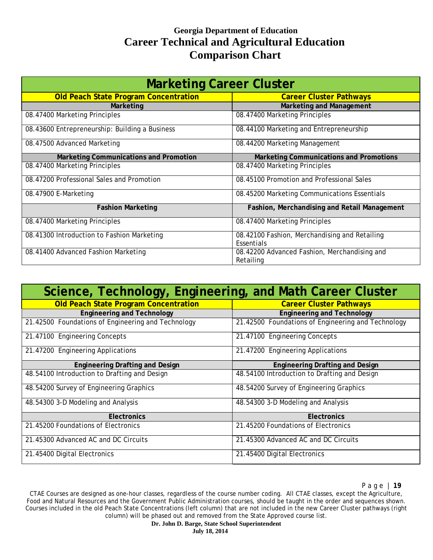| <b>Marketing Career Cluster</b>                |                                                             |
|------------------------------------------------|-------------------------------------------------------------|
| Old Peach State Program Concentration          | <b>Career Cluster Pathways</b>                              |
| Marketing                                      | <b>Marketing and Management</b>                             |
| 08.47400 Marketing Principles                  | 08.47400 Marketing Principles                               |
| 08.43600 Entrepreneurship: Building a Business | 08.44100 Marketing and Entrepreneurship                     |
| 08.47500 Advanced Marketing                    | 08.44200 Marketing Management                               |
| Marketing Communications and Promotion         | <b>Marketing Communications and Promotions</b>              |
| 08.47400 Marketing Principles                  | 08.47400 Marketing Principles                               |
| 08.47200 Professional Sales and Promotion      | 08.45100 Promotion and Professional Sales                   |
| 08.47900 E-Marketing                           | 08.45200 Marketing Communications Essentials                |
| <b>Fashion Marketing</b>                       | Fashion, Merchandising and Retail Management                |
| 08.47400 Marketing Principles                  | 08.47400 Marketing Principles                               |
| 08.41300 Introduction to Fashion Marketing     | 08.42100 Fashion, Merchandising and Retailing<br>Essentials |
| 08.41400 Advanced Fashion Marketing            | 08.42200 Advanced Fashion, Merchandising and<br>Retailing   |

| Science, Technology, Engineering, and Math Career Cluster |                                                    |
|-----------------------------------------------------------|----------------------------------------------------|
| <b>Old Peach State Program Concentration</b>              | <b>Career Cluster Pathways</b>                     |
| <b>Engineering and Technology</b>                         | <b>Engineering and Technology</b>                  |
| 21.42500 Foundations of Engineering and Technology        | 21.42500 Foundations of Engineering and Technology |
| 21.47100 Engineering Concepts                             | 21.47100 Engineering Concepts                      |
| 21.47200 Engineering Applications                         | 21.47200 Engineering Applications                  |
| <b>Engineering Drafting and Design</b>                    | <b>Engineering Drafting and Design</b>             |
| 48.54100 Introduction to Drafting and Design              | 48.54100 Introduction to Drafting and Design       |
| 48.54200 Survey of Engineering Graphics                   | 48.54200 Survey of Engineering Graphics            |
| 48.54300 3-D Modeling and Analysis                        | 48.54300 3-D Modeling and Analysis                 |
| <b>Electronics</b>                                        | <b>Electronics</b>                                 |
| 21.45200 Foundations of Electronics                       | 21.45200 Foundations of Electronics                |
| 21.45300 Advanced AC and DC Circuits                      | 21.45300 Advanced AC and DC Circuits               |
| 21.45400 Digital Electronics                              | 21.45400 Digital Electronics                       |

CTAE Courses are designed as one-hour classes, regardless of the course number coding. All CTAE classes, except the Agriculture, Food and Natural Resources and the Government Public Administration courses, should be taught in the order and sequences shown. Courses included in the old Peach State Concentrations (left column) that are not included in the new Career Cluster pathways (right column) will be phased out and removed from the State Approved course list.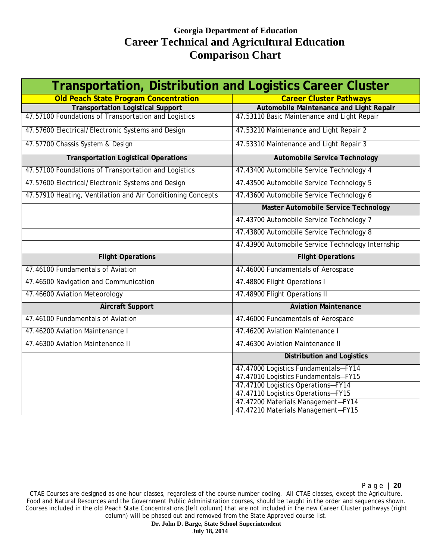| <b>Transportation, Distribution and Logistics Career Cluster</b> |                                                                                                                                                                                              |
|------------------------------------------------------------------|----------------------------------------------------------------------------------------------------------------------------------------------------------------------------------------------|
| <b>Old Peach State Program Concentration</b>                     | <b>Career Cluster Pathways</b>                                                                                                                                                               |
| <b>Transportation Logistical Support</b>                         | Automobile Maintenance and Light Repair                                                                                                                                                      |
| 47.57100 Foundations of Transportation and Logistics             | 47.53110 Basic Maintenance and Light Repair                                                                                                                                                  |
| 47.57600 Electrical/Electronic Systems and Design                | 47.53210 Maintenance and Light Repair 2                                                                                                                                                      |
| 47.57700 Chassis System & Design                                 | 47.53310 Maintenance and Light Repair 3                                                                                                                                                      |
| <b>Transportation Logistical Operations</b>                      | <b>Automobile Service Technology</b>                                                                                                                                                         |
| 47.57100 Foundations of Transportation and Logistics             | 47.43400 Automobile Service Technology 4                                                                                                                                                     |
| 47.57600 Electrical/Electronic Systems and Design                | 47.43500 Automobile Service Technology 5                                                                                                                                                     |
| 47.57910 Heating, Ventilation and Air Conditioning Concepts      | 47.43600 Automobile Service Technology 6                                                                                                                                                     |
|                                                                  | Master Automobile Service Technology                                                                                                                                                         |
|                                                                  | 47.43700 Automobile Service Technology 7                                                                                                                                                     |
|                                                                  | 47.43800 Automobile Service Technology 8                                                                                                                                                     |
|                                                                  | 47.43900 Automobile Service Technology Internship                                                                                                                                            |
| <b>Flight Operations</b>                                         | <b>Flight Operations</b>                                                                                                                                                                     |
| 47.46100 Fundamentals of Aviation                                | 47.46000 Fundamentals of Aerospace                                                                                                                                                           |
| 47.46500 Navigation and Communication                            | 47.48800 Flight Operations I                                                                                                                                                                 |
| 47.46600 Aviation Meteorology                                    | 47.48900 Flight Operations II                                                                                                                                                                |
| <b>Aircraft Support</b>                                          | <b>Aviation Maintenance</b>                                                                                                                                                                  |
| 47.46100 Fundamentals of Aviation                                | 47.46000 Fundamentals of Aerospace                                                                                                                                                           |
| 47.46200 Aviation Maintenance I                                  | 47.46200 Aviation Maintenance I                                                                                                                                                              |
| 47.46300 Aviation Maintenance II                                 | 47.46300 Aviation Maintenance II                                                                                                                                                             |
|                                                                  | <b>Distribution and Logistics</b>                                                                                                                                                            |
|                                                                  | 47.47000 Logistics Fundamentals-FY14                                                                                                                                                         |
|                                                                  |                                                                                                                                                                                              |
|                                                                  |                                                                                                                                                                                              |
|                                                                  |                                                                                                                                                                                              |
|                                                                  |                                                                                                                                                                                              |
|                                                                  | 47.47010 Logistics Fundamentals-FY15<br>47.47100 Logistics Operations-FY14<br>47.47110 Logistics Operations-FY15<br>47.47200 Materials Management-FY14<br>47.47210 Materials Management-FY15 |

Page | **20**